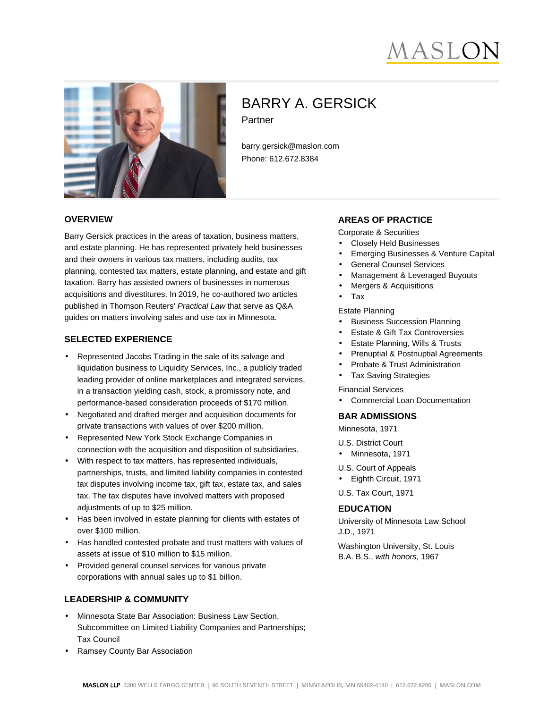



# BARRY A. GERSICK Partner

barry.gersick@maslon.com Phone: 612.672.8384

### **OVERVIEW**

Barry Gersick practices in the areas of taxation, business matters, and estate planning. He has represented privately held businesses and their owners in various tax matters, including audits, tax planning, contested tax matters, estate planning, and estate and gift taxation. Barry has assisted owners of businesses in numerous acquisitions and divestitures. In 2019, he co-authored two articles published in Thomson Reuters' Practical Law that serve as Q&A guides on matters involving sales and use tax in Minnesota.

## **SELECTED EXPERIENCE**

- Represented Jacobs Trading in the sale of its salvage and liquidation business to Liquidity Services, Inc., a publicly traded leading provider of online marketplaces and integrated services, in a transaction yielding cash, stock, a promissory note, and performance-based consideration proceeds of \$170 million.
- Negotiated and drafted merger and acquisition documents for private transactions with values of over \$200 million.
- Represented New York Stock Exchange Companies in connection with the acquisition and disposition of subsidiaries.
- With respect to tax matters, has represented individuals, partnerships, trusts, and limited liability companies in contested tax disputes involving income tax, gift tax, estate tax, and sales tax. The tax disputes have involved matters with proposed adjustments of up to \$25 million.
- Has been involved in estate planning for clients with estates of over \$100 million.
- Has handled contested probate and trust matters with values of assets at issue of \$10 million to \$15 million.
- Provided general counsel services for various private corporations with annual sales up to \$1 billion.

## **LEADERSHIP & COMMUNITY**

- Minnesota State Bar Association: Business Law Section, Subcommittee on Limited Liability Companies and Partnerships; Tax Council
- Ramsey County Bar Association

## **AREAS OF PRACTICE**

- Corporate & Securities
- Closely Held Businesses
- Emerging Businesses & Venture Capital
- General Counsel Services
- Management & Leveraged Buyouts
- Mergers & Acquisitions
- Tax

Estate Planning

- Business Succession Planning
- Estate & Gift Tax Controversies
- Estate Planning, Wills & Trusts
- Prenuptial & Postnuptial Agreements
- Probate & Trust Administration
- Tax Saving Strategies

Financial Services

• Commercial Loan Documentation

## **BAR ADMISSIONS**

Minnesota, 1971

- U.S. District Court
- Minnesota, 1971
- U.S. Court of Appeals
- Eighth Circuit, 1971

U.S. Tax Court, 1971

## **EDUCATION**

University of Minnesota Law School J.D., 1971

Washington University, St. Louis B.A. B.S., with honors, 1967